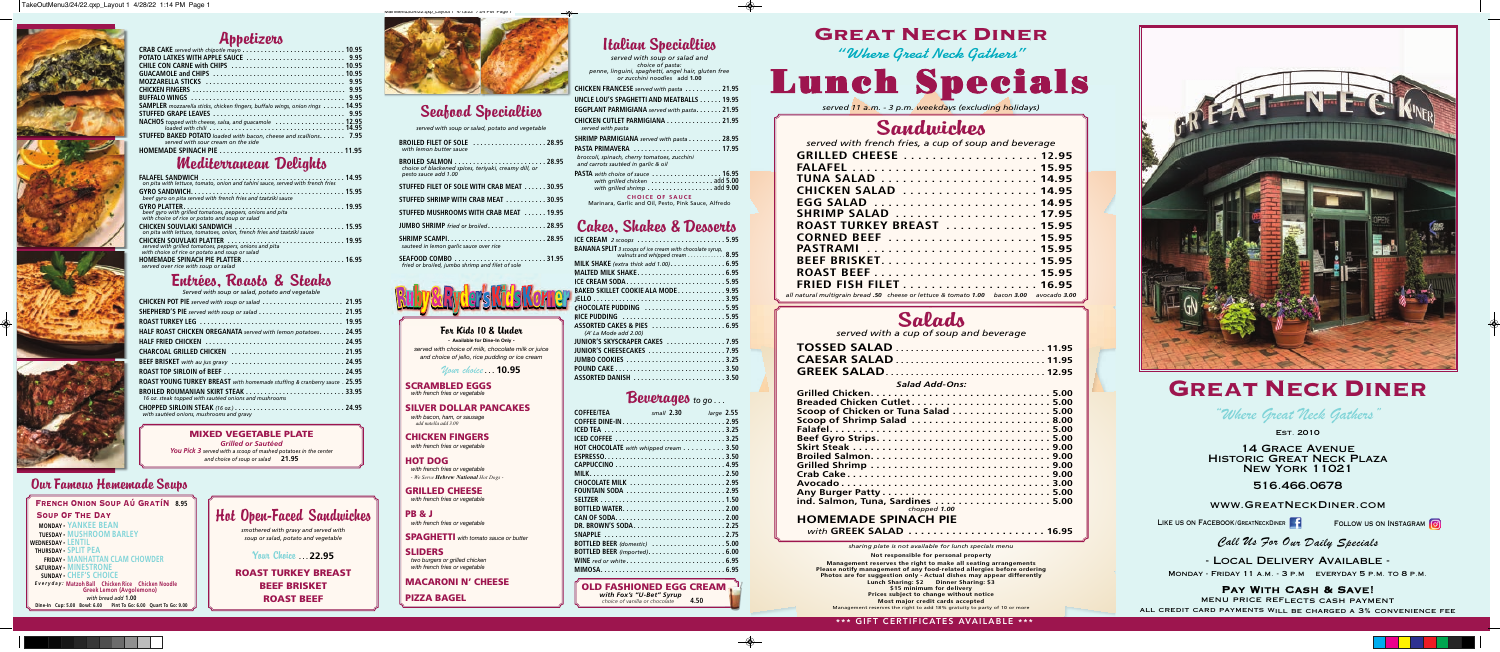14 Grace Avenue Historic Great Neck Plaza New York 11021

516.466.0678

#### www.GreatNeckDiner.com

LIKE US ON FACEBOOK/GREATNECKDINER **Filliph COLLOW US ON INSTAGRAM** 

#### Call Us For Our Daily Specials

PAY WITH CASH & SAVE! menu price reflects cash payment all credit card payments will be charged a 3% convenience fee

- Local Delivery Available -

Monday - Friday 11 a.m. - 3 p.m everyday 5 p.m. to 8 p.m.

"Where Great Neck Gathers"

Est. 2010

French Onion Soup Aú GratíN**8.95** Soup Of The Day **MONDAY - YANKEE BEAN TUESDAY - MUSHROOM BARLEY WEDNESDAY - LENTIL THURSDAY - SPLIT PEA FRIDAY - MANHATTAN CLAM CHOWDER SATURDAY - MINESTRONE SUNDAY - CHEF'S CHOICE**  *Everyday:* **Matzoh Ball Chicken Rice Chicken Noodle Greek Lemon (Avgolemono** *with bread add* **1.00 Dine-In Cup: 5.00 Bowl: 6.00 Pint To Go: 6.00 Quart To Go: 9.00** 

## Appetizers

| <b>SAMPLER</b> mozzarella sticks, chicken fingers, buffalo wings, onion rings 14.95 |
|-------------------------------------------------------------------------------------|
|                                                                                     |
| NACHOS topped with cheese, salsa, and guacamole  12.95                              |
| loaded with chili $\ldots \ldots \ldots \ldots$                                     |
| <b>STUFFED BAKED POTATO</b> loaded with bacon, cheese and scallions. 7.95           |
| served with sour cream on the side                                                  |
|                                                                                     |

#### Mediterranean Delights

| on pita with lettuce, tomato, onion and tahini sauce, served with french fries                               |  |
|--------------------------------------------------------------------------------------------------------------|--|
| beef gyro on pita served with french fries and tzatziki sauce                                                |  |
| beef gyro with grilled tomatoes, peppers, onions and pita<br>with choice of rice or potato and soup or salad |  |
| CHICKEN SOUVLAKI SANDWICH  15.95<br>on pita with lettuce, tomatoes, onion, french fries and tzatziki sauce   |  |
| served with grilled tomatoes, peppers, onions and pita<br>with choice of rice or potato and soup or salad    |  |
| served over rice with soup or salad                                                                          |  |

## Entrées, Roasts & Steaks

| Served with soup or salad, potato and vegetable                            |
|----------------------------------------------------------------------------|
|                                                                            |
|                                                                            |
|                                                                            |
| HALF ROAST CHICKEN OREGANATA served with lemon potatoes. 24.95             |
|                                                                            |
|                                                                            |
|                                                                            |
|                                                                            |
| ROAST YOUNG TURKEY BREAST with homemade stuffing & cranberry sauce . 25.95 |
| 16 oz. steak topped with sautéed onions and mushrooms                      |
| with sautéed onions, mushrooms and gravy                                   |

#### **MIXED VEGETABLE PLATE**

*Grilled or Sautéed You Pick 3 served with a scoop of mashed potatoes in the center and choice of soup or salad* **21.95**

#### Our Famous Homemade Soups

#### Hot Open-Faced Sandwiches *smothered with gravy and served with soup or salad, potato and vegetable*

Your Choice **. . . 22.95**

**ROAST TURKEY BREAST BEEF BRISKET ROAST BEEF** 

# Cakes, Shakes & Desserts

| ICE CREAM 2 scoops 5.95                                         |
|-----------------------------------------------------------------|
| <b>BANANA SPLIT</b> 3 scoops of ice cream with chocolate syrup, |
| walnuts and whipped cream 8.95                                  |
|                                                                 |
|                                                                 |
| ICE CREAM SODA5.95                                              |
| BAKED SKILLET COOKIE ALA MODE 9.95                              |
|                                                                 |
| CHOCOLATE PUDDING 5.95                                          |
| RICE PUDDING 5.95                                               |
| ASSORTED CAKES & PIES  6.95                                     |
| (A' La Mode add 2.00)                                           |
| JUNIOR'S SKYSCRAPER CAKES  7.95                                 |
| JUNIOR'S CHEESECAKES 7.95                                       |
|                                                                 |
|                                                                 |
| ASSORTED DANISH 3.50                                            |
|                                                                 |

## Beverages *to go . . .*

*sharing plate is not available for lunch specials menu*  **Not responsible for personal property Management reserves the right to make all seating arrangements Please notify management of any food-related allergies before ordering Photos are for suggestion only - Actual dishes may appear differently Lunch Sharing: \$2 Dinner Sharing: \$3 \$15 minimum for delivery Prices subject to change without notice Most major credit cards accepted**  reserves the right to add 18% gratuity to party of 10 or more



# **GREAT NECK DINER**

| <b>COFFEE/TEA</b>                                                                | small 2.30 | large 2.55 |
|----------------------------------------------------------------------------------|------------|------------|
|                                                                                  |            |            |
|                                                                                  |            |            |
| <b>HOT CHOCOLATE</b> with whipped cream $\ldots \ldots \ldots \ldots$ 3.50       |            |            |
|                                                                                  |            |            |
|                                                                                  |            |            |
|                                                                                  |            |            |
|                                                                                  |            |            |
| FOUNTAIN SODA 2.95                                                               |            |            |
|                                                                                  |            |            |
|                                                                                  |            |            |
|                                                                                  |            |            |
|                                                                                  |            |            |
|                                                                                  |            |            |
| BOTTLED BEER (domestic) 5.00                                                     |            |            |
| BOTTLED BEER (imported)6.00                                                      |            |            |
| WINE red or white $\ldots \ldots \ldots \ldots \ldots \ldots \ldots \ldots 6.95$ |            |            |
|                                                                                  |            |            |

For Kids 10 & Under **- Available for Dine-In Only**  *served with choice of milk, chocolate milk or juice and choice of jello, rice pudding or ice cream* 

#### Your choice *. . .* **10.95**

**SCRAMBLED EGGS**  *with french fries or vegetable* 

**SILVER DOLLAR PANCAKES**   *with bacon, ham, or sausage add nutella add 3.00* 

#### **CHICKEN FINGERS**   *with french fries or vegetable*

**HOT DOG**  *with french fries or vegetable - We Serve Hebrew National Hot Dogs -* 

**GRILLED CHEESE**   *with french fries or vegetable* 

**PB & J**   *with french fries or vegetable* 

**SPAGHETTI** *with tomato sauce or butter* 

**SLIDERS**  *two burgers or grilled chicken with french fries or vegetable* 

**MACARONI N' CHEESE**

**PIZZA BAGEL** 

# Seafood Specialties

*served with soup or salad, potato and vegetable* 

| <b>BROILED FILET OF SOLE  28.95</b><br>with lemon butter sauce                |
|-------------------------------------------------------------------------------|
| choice of blackened spices, terivaki, creamy dill, or<br>pesto sauce add 1.00 |
| STUFFED FILET OF SOLE WITH CRAB MEAT 30.95                                    |
| STUFFED SHRIMP WITH CRAB MEAT 30.95                                           |
| STUFFED MUSHROOMS WITH CRAB MEAT 19.95                                        |
| <b>JUMBO SHRIMP</b> fried or broiled 28.95                                    |
| SHRIMP SCAMPI 28.95<br>sauteed in lemon garlic sauce over rice                |
| SEAFOOD COMBO 31.95<br>fried or broiled, jumbo shrimp and filet of sole       |



**OLD FASHIONED EGG CREAM**   *with Fox's "U-Bet" Syrup choice of vanilla or chocolate* **4.50**

 $\clubsuit$ 

# Italian Specialties

| served with soup or salad and<br>choice of pasta:                                                                                                                                             |
|-----------------------------------------------------------------------------------------------------------------------------------------------------------------------------------------------|
| penne, linguini, spaghetti, angel hair, gluten free<br>or zucchini noodles add 1.00                                                                                                           |
| CHICKEN FRANCESE served with pasta 21.95                                                                                                                                                      |
| UNCLE LOU'S SPAGHETTI AND MEATBALLS 19.95                                                                                                                                                     |
| EGGPLANT PARMIGIANA served with pasta 21.95                                                                                                                                                   |
| CHICKEN CUTLET PARMIGIANA 21.95<br>served with pasta                                                                                                                                          |
| <b>SHRIMP PARMIGIANA</b> served with pasta $\ldots \ldots \ldots$ 28.95                                                                                                                       |
| broccoli, spinach, cherry tomatoes, zucchini<br>and carrots sautéed in garlic & oil                                                                                                           |
| $\textsf{PASTA}$ with choice of sauce $\,\ldots\ldots\ldots\ldots\ldots\ldots\,16.95$<br>with grilled chicken add 5.00<br>with grilled shrimp $\ldots \ldots \ldots \ldots \ldots$ add $9.00$ |
| <b>CHOICE OF SAUCE</b><br>Marinara, Garlic and Oil, Pesto, Pink Sauce, Alfredo                                                                                                                |
|                                                                                                                                                                                               |



*served 11 a.m. - 3 p.m. weekdays (excluding holidays)* 

Lunch Specials

# Sandwiches

*served with french fries, a cup of soup and beverage* 

| <b>CHICKEN SALAD</b> 14.95                                                                  |
|---------------------------------------------------------------------------------------------|
| EGG SALAD  14.95                                                                            |
| <b>SHRIMP SALAD</b> 17.95                                                                   |
| <b>ROAST TURKEY BREAST</b> 15.95                                                            |
|                                                                                             |
| PASTRAMI  15.95                                                                             |
|                                                                                             |
|                                                                                             |
| <b>FRIED FISH FILET</b> 16.95                                                               |
| all natural multigrain bread .50  cheese or lettuce & tomato 1.00  bacon 3.00  avocado 3.00 |

# Salads

*served with a cup of soup and beverage* 

| <b>TOSSED SALAD</b> 11.95           |
|-------------------------------------|
| <b>CAESAR SALAD</b> 11.95           |
| <b>GREEK SALAD12.95</b>             |
| <b>Salad Add-Ons:</b>               |
|                                     |
| Breaded Chicken Cutlet5.00          |
| Scoop of Chicken or Tuna Salad 5.00 |
| Scoop of Shrimp Salad 8.00          |
|                                     |
|                                     |
|                                     |
|                                     |
|                                     |
|                                     |
|                                     |
|                                     |
|                                     |
|                                     |
| chopped 1.00                        |

#### **HOMEMADE SPINACH PIE**

*with* **GREEK SALAD . . . . . . . . . . . . . . . . . . . . . . 16.95**

## Great Neck Diner *"Where Great Neck Gathers"*

\*\*\* GIFT CERTIFICATES AVAILABLE \*\*\*